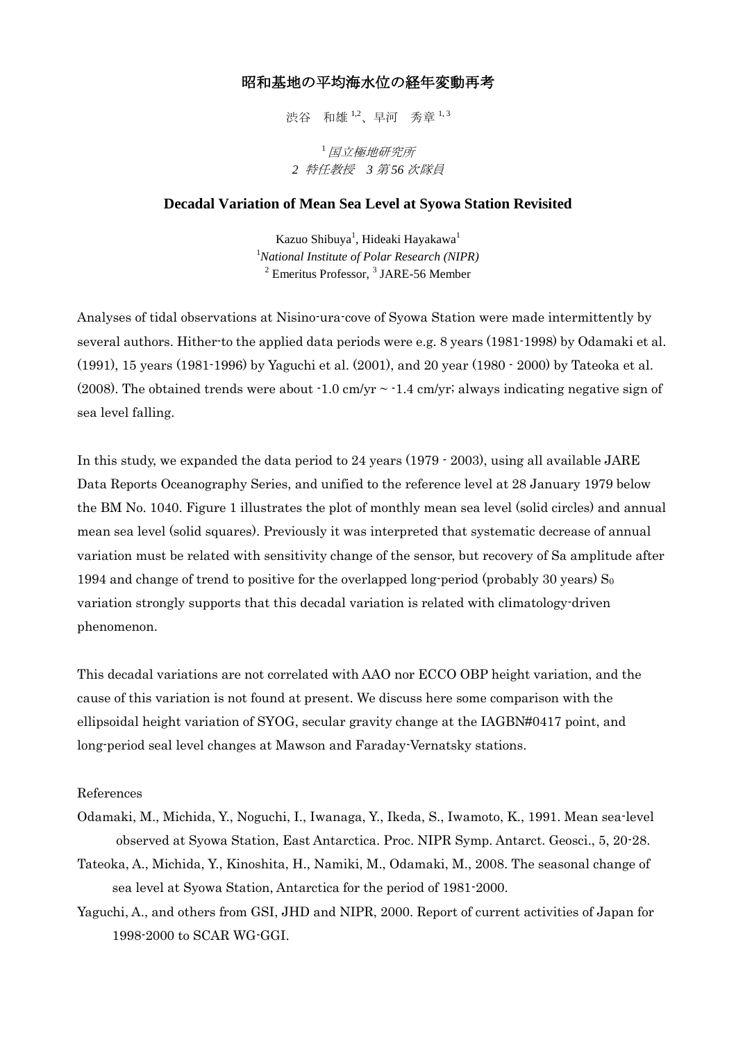## 昭和基地の平均海水位の経年変動再考

渋谷 和雄 1,2、早河 秀章 1,3

<sup>1</sup>国立極地研究所 *2* 特任教授 *3* 第 *56* 次隊員

## **Decadal Variation of Mean Sea Level at Syowa Station Revisited**

Kazuo Shibuya<sup>1</sup>, Hideaki Hayakawa<sup>1</sup> <sup>1</sup>*National Institute of Polar Research (NIPR)*  $2$  Emeritus Professor,  $3$  JARE-56 Member

Analyses of tidal observations at Nisino-ura-cove of Syowa Station were made intermittently by several authors. Hither-to the applied data periods were e.g. 8 years (1981-1998) by Odamaki et al. (1991), 15 years (1981-1996) by Yaguchi et al. (2001), and 20 year (1980 - 2000) by Tateoka et al. (2008). The obtained trends were about  $-1.0 \text{ cm/yr} \sim -1.4 \text{ cm/yr}$ ; always indicating negative sign of sea level falling.

In this study, we expanded the data period to 24 years (1979 - 2003), using all available JARE Data Reports Oceanography Series, and unified to the reference level at 28 January 1979 below the BM No. 1040. Figure 1 illustrates the plot of monthly mean sea level (solid circles) and annual mean sea level (solid squares). Previously it was interpreted that systematic decrease of annual variation must be related with sensitivity change of the sensor, but recovery of Sa amplitude after 1994 and change of trend to positive for the overlapped long-period (probably 30 years)  $S_0$ variation strongly supports that this decadal variation is related with climatology-driven phenomenon.

This decadal variations are not correlated with AAO nor ECCO OBP height variation, and the cause of this variation is not found at present. We discuss here some comparison with the ellipsoidal height variation of SYOG, secular gravity change at the IAGBN#0417 point, and long-period seal level changes at Mawson and Faraday-Vernatsky stations.

## References

- Odamaki, M., Michida, Y., Noguchi, I., Iwanaga, Y., Ikeda, S., Iwamoto, K., 1991. Mean sea-level observed at Syowa Station, East Antarctica. Proc. NIPR Symp. Antarct. Geosci., 5, 20-28.
- Tateoka, A., Michida, Y., Kinoshita, H., Namiki, M., Odamaki, M., 2008. The seasonal change of sea level at Syowa Station, Antarctica for the period of 1981-2000.
- Yaguchi, A., and others from GSI, JHD and NIPR, 2000. Report of current activities of Japan for 1998-2000 to SCAR WG-GGI.